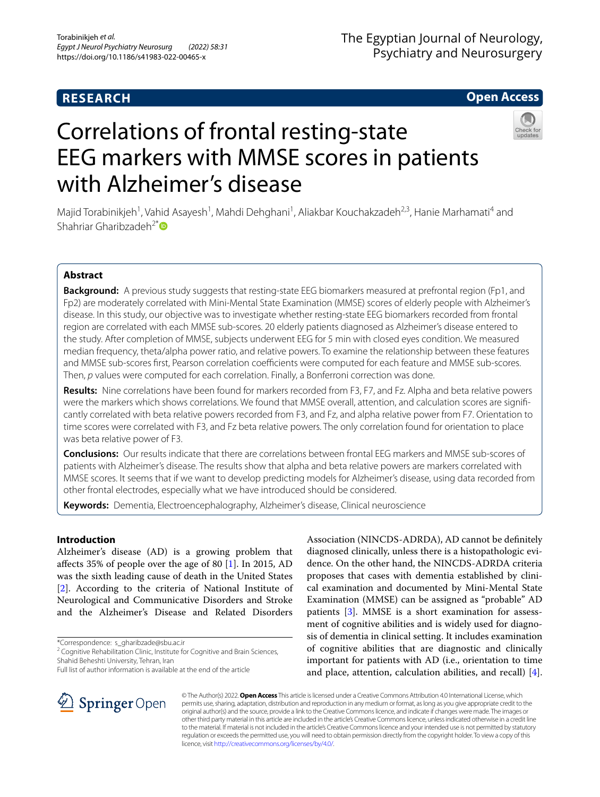# **RESEARCH**

# The Egyptian Journal of Neurology, Psychiatry and Neurosurgery

# **Open Access**

# Correlations of frontal resting-state EEG markers with MMSE scores in patients with Alzheimer's disease



Majid Torabinikjeh<sup>1</sup>, Vahid Asayesh<sup>1</sup>, Mahdi Dehghani<sup>1</sup>, Aliakbar Kouchakzadeh<sup>2,3</sup>, Hanie Marhamati<sup>4</sup> and Shahriar Gharibzadeh<sup>2[\\*](http://orcid.org/0000-0002-9604-8433)</sup>

# **Abstract**

**Background:** A previous study suggests that resting-state EEG biomarkers measured at prefrontal region (Fp1, and Fp2) are moderately correlated with Mini-Mental State Examination (MMSE) scores of elderly people with Alzheimer's disease. In this study, our objective was to investigate whether resting-state EEG biomarkers recorded from frontal region are correlated with each MMSE sub-scores. 20 elderly patients diagnosed as Alzheimer's disease entered to the study. After completion of MMSE, subjects underwent EEG for 5 min with closed eyes condition. We measured median frequency, theta/alpha power ratio, and relative powers. To examine the relationship between these features and MMSE sub-scores first, Pearson correlation coefficients were computed for each feature and MMSE sub-scores. Then, *p* values were computed for each correlation. Finally, a Bonferroni correction was done.

**Results:** Nine correlations have been found for markers recorded from F3, F7, and Fz. Alpha and beta relative powers were the markers which shows correlations. We found that MMSE overall, attention, and calculation scores are signifcantly correlated with beta relative powers recorded from F3, and Fz, and alpha relative power from F7. Orientation to time scores were correlated with F3, and Fz beta relative powers. The only correlation found for orientation to place was beta relative power of F3.

**Conclusions:** Our results indicate that there are correlations between frontal EEG markers and MMSE sub-scores of patients with Alzheimer's disease. The results show that alpha and beta relative powers are markers correlated with MMSE scores. It seems that if we want to develop predicting models for Alzheimer's disease, using data recorded from other frontal electrodes, especially what we have introduced should be considered.

**Keywords:** Dementia, Electroencephalography, Alzheimer's disease, Clinical neuroscience

# **Introduction**

Alzheimer's disease (AD) is a growing problem that afects 35% of people over the age of 80 [[1\]](#page-5-0). In 2015, AD was the sixth leading cause of death in the United States [[2\]](#page-5-1). According to the criteria of National Institute of Neurological and Communicative Disorders and Stroke and the Alzheimer's Disease and Related Disorders

\*Correspondence: s\_gharibzade@sbu.ac.ir

<sup>2</sup> Cognitive Rehabilitation Clinic, Institute for Cognitive and Brain Sciences, Shahid Beheshti University, Tehran, Iran

Full list of author information is available at the end of the article

Association (NINCDS-ADRDA), AD cannot be defnitely diagnosed clinically, unless there is a histopathologic evidence. On the other hand, the NINCDS-ADRDA criteria proposes that cases with dementia established by clinical examination and documented by Mini-Mental State Examination (MMSE) can be assigned as "probable" AD patients [[3\]](#page-5-2). MMSE is a short examination for assessment of cognitive abilities and is widely used for diagnosis of dementia in clinical setting. It includes examination of cognitive abilities that are diagnostic and clinically important for patients with AD (i.e., orientation to time and place, attention, calculation abilities, and recall) [\[4](#page-5-3)].



© The Author(s) 2022. **Open Access** This article is licensed under a Creative Commons Attribution 4.0 International License, which permits use, sharing, adaptation, distribution and reproduction in any medium or format, as long as you give appropriate credit to the original author(s) and the source, provide a link to the Creative Commons licence, and indicate if changes were made. The images or other third party material in this article are included in the article's Creative Commons licence, unless indicated otherwise in a credit line to the material. If material is not included in the article's Creative Commons licence and your intended use is not permitted by statutory regulation or exceeds the permitted use, you will need to obtain permission directly from the copyright holder. To view a copy of this licence, visit [http://creativecommons.org/licenses/by/4.0/.](http://creativecommons.org/licenses/by/4.0/)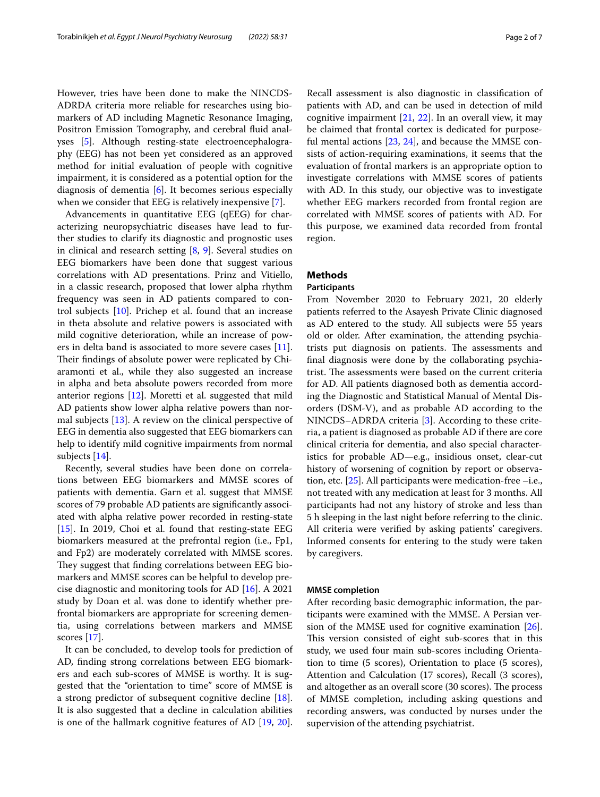However, tries have been done to make the NINCDS-ADRDA criteria more reliable for researches using biomarkers of AD including Magnetic Resonance Imaging, Positron Emission Tomography, and cerebral fluid analyses [\[5](#page-5-4)]. Although resting-state electroencephalography (EEG) has not been yet considered as an approved method for initial evaluation of people with cognitive impairment, it is considered as a potential option for the diagnosis of dementia [\[6\]](#page-5-5). It becomes serious especially when we consider that EEG is relatively inexpensive [[7\]](#page-5-6).

Advancements in quantitative EEG (qEEG) for characterizing neuropsychiatric diseases have lead to further studies to clarify its diagnostic and prognostic uses in clinical and research setting [\[8,](#page-5-7) [9](#page-6-0)]. Several studies on EEG biomarkers have been done that suggest various correlations with AD presentations. Prinz and Vitiello, in a classic research, proposed that lower alpha rhythm frequency was seen in AD patients compared to control subjects [\[10](#page-6-1)]. Prichep et al. found that an increase in theta absolute and relative powers is associated with mild cognitive deterioration, while an increase of powers in delta band is associated to more severe cases [\[11](#page-6-2)]. Their findings of absolute power were replicated by Chiaramonti et al., while they also suggested an increase in alpha and beta absolute powers recorded from more anterior regions [\[12\]](#page-6-3). Moretti et al. suggested that mild AD patients show lower alpha relative powers than normal subjects [[13\]](#page-6-4). A review on the clinical perspective of EEG in dementia also suggested that EEG biomarkers can help to identify mild cognitive impairments from normal subjects [\[14](#page-6-5)].

Recently, several studies have been done on correlations between EEG biomarkers and MMSE scores of patients with dementia. Garn et al. suggest that MMSE scores of 79 probable AD patients are signifcantly associated with alpha relative power recorded in resting-state [ $15$ ]. In 2019, Choi et al. found that resting-state EEG biomarkers measured at the prefrontal region (i.e., Fp1, and Fp2) are moderately correlated with MMSE scores. They suggest that finding correlations between EEG biomarkers and MMSE scores can be helpful to develop precise diagnostic and monitoring tools for AD [\[16](#page-6-7)]. A 2021 study by Doan et al. was done to identify whether prefrontal biomarkers are appropriate for screening dementia, using correlations between markers and MMSE scores [[17](#page-6-8)].

It can be concluded, to develop tools for prediction of AD, fnding strong correlations between EEG biomarkers and each sub-scores of MMSE is worthy. It is suggested that the "orientation to time" score of MMSE is a strong predictor of subsequent cognitive decline [\[18](#page-6-9)]. It is also suggested that a decline in calculation abilities is one of the hallmark cognitive features of AD [[19,](#page-6-10) [20](#page-6-11)]. Recall assessment is also diagnostic in classifcation of patients with AD, and can be used in detection of mild cognitive impairment [[21,](#page-6-12) [22\]](#page-6-13). In an overall view, it may be claimed that frontal cortex is dedicated for purposeful mental actions [\[23](#page-6-14), [24](#page-6-15)], and because the MMSE consists of action-requiring examinations, it seems that the evaluation of frontal markers is an appropriate option to investigate correlations with MMSE scores of patients with AD. In this study, our objective was to investigate whether EEG markers recorded from frontal region are correlated with MMSE scores of patients with AD. For this purpose, we examined data recorded from frontal region.

## **Methods**

#### **Participants**

From November 2020 to February 2021, 20 elderly patients referred to the Asayesh Private Clinic diagnosed as AD entered to the study. All subjects were 55 years old or older. After examination, the attending psychiatrists put diagnosis on patients. The assessments and fnal diagnosis were done by the collaborating psychiatrist. The assessments were based on the current criteria for AD. All patients diagnosed both as dementia according the Diagnostic and Statistical Manual of Mental Disorders (DSM-V), and as probable AD according to the NINCDS–ADRDA criteria [[3\]](#page-5-2). According to these criteria, a patient is diagnosed as probable AD if there are core clinical criteria for dementia, and also special characteristics for probable AD—e.g., insidious onset, clear-cut history of worsening of cognition by report or observation, etc.  $[25]$  $[25]$ . All participants were medication-free  $-i.e.,$ not treated with any medication at least for 3 months. All participants had not any history of stroke and less than 5 h sleeping in the last night before referring to the clinic. All criteria were verifed by asking patients' caregivers. Informed consents for entering to the study were taken by caregivers.

#### **MMSE completion**

After recording basic demographic information, the participants were examined with the MMSE. A Persian version of the MMSE used for cognitive examination [\[26](#page-6-17)]. This version consisted of eight sub-scores that in this study, we used four main sub-scores including Orientation to time (5 scores), Orientation to place (5 scores), Attention and Calculation (17 scores), Recall (3 scores), and altogether as an overall score (30 scores). The process of MMSE completion, including asking questions and recording answers, was conducted by nurses under the supervision of the attending psychiatrist.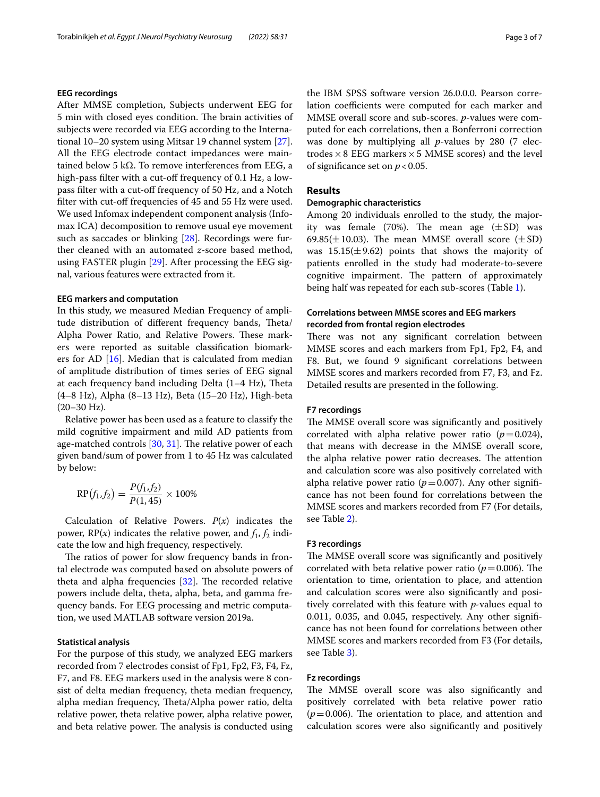## **EEG recordings**

After MMSE completion, Subjects underwent EEG for 5 min with closed eyes condition. The brain activities of subjects were recorded via EEG according to the International 10–20 system using Mitsar 19 channel system [\[27](#page-6-18)]. All the EEG electrode contact impedances were maintained below 5 kΩ. To remove interferences from EEG, a high-pass filter with a cut-off frequency of 0.1 Hz, a lowpass filter with a cut-off frequency of 50 Hz, and a Notch filter with cut-off frequencies of 45 and 55 Hz were used. We used Infomax independent component analysis (Infomax ICA) decomposition to remove usual eye movement such as saccades or blinking [\[28](#page-6-19)]. Recordings were further cleaned with an automated *z*-score based method, using FASTER plugin [[29\]](#page-6-20). After processing the EEG signal, various features were extracted from it.

#### **EEG markers and computation**

In this study, we measured Median Frequency of amplitude distribution of different frequency bands, Theta/ Alpha Power Ratio, and Relative Powers. These markers were reported as suitable classifcation biomarkers for AD [\[16](#page-6-7)]. Median that is calculated from median of amplitude distribution of times series of EEG signal at each frequency band including Delta  $(1-4 Hz)$ , Theta (4–8 Hz), Alpha (8–13 Hz), Beta (15–20 Hz), High-beta  $(20-30 \text{ Hz})$ .

Relative power has been used as a feature to classify the mild cognitive impairment and mild AD patients from age-matched controls [[30,](#page-6-21) [31](#page-6-22)]. The relative power of each given band/sum of power from 1 to 45 Hz was calculated by below:

$$
RP(f_1, f_2) = \frac{P(f_1, f_2)}{P(1, 45)} \times 100\%
$$

Calculation of Relative Powers.  $P(x)$  indicates the power,  $RP(x)$  indicates the relative power, and  $f_1, f_2$  indicate the low and high frequency, respectively.

The ratios of power for slow frequency bands in frontal electrode was computed based on absolute powers of theta and alpha frequencies  $[32]$  $[32]$ . The recorded relative powers include delta, theta, alpha, beta, and gamma frequency bands. For EEG processing and metric computation, we used MATLAB software version 2019a.

#### **Statistical analysis**

For the purpose of this study, we analyzed EEG markers recorded from 7 electrodes consist of Fp1, Fp2, F3, F4, Fz, F7, and F8. EEG markers used in the analysis were 8 consist of delta median frequency, theta median frequency, alpha median frequency, Theta/Alpha power ratio, delta relative power, theta relative power, alpha relative power, and beta relative power. The analysis is conducted using the IBM SPSS software version 26.0.0.0. Pearson correlation coefficients were computed for each marker and MMSE overall score and sub-scores. *p*-values were computed for each correlations, then a Bonferroni correction was done by multiplying all *p*-values by 280 (7 electrodes  $\times$  8 EEG markers  $\times$  5 MMSE scores) and the level of significance set on  $p < 0.05$ .

## **Results**

#### **Demographic characteristics**

Among 20 individuals enrolled to the study, the majority was female (70%). The mean age  $(\pm SD)$  was 69.85( $\pm$ 10.03). The mean MMSE overall score ( $\pm$ SD) was  $15.15(\pm 9.62)$  points that shows the majority of patients enrolled in the study had moderate-to-severe cognitive impairment. The pattern of approximately being half was repeated for each sub-scores (Table [1](#page-3-0)).

# **Correlations between MMSE scores and EEG markers recorded from frontal region electrodes**

There was not any significant correlation between MMSE scores and each markers from Fp1, Fp2, F4, and F8. But, we found 9 signifcant correlations between MMSE scores and markers recorded from F7, F3, and Fz. Detailed results are presented in the following.

#### **F7 recordings**

The MMSE overall score was significantly and positively correlated with alpha relative power ratio  $(p=0.024)$ , that means with decrease in the MMSE overall score, the alpha relative power ratio decreases. The attention and calculation score was also positively correlated with alpha relative power ratio ( $p=0.007$ ). Any other significance has not been found for correlations between the MMSE scores and markers recorded from F7 (For details, see Table [2](#page-3-1)).

## **F3 recordings**

The MMSE overall score was significantly and positively correlated with beta relative power ratio ( $p=0.006$ ). The orientation to time, orientation to place, and attention and calculation scores were also signifcantly and positively correlated with this feature with *p*-values equal to 0.011, 0.035, and 0.045, respectively. Any other signifcance has not been found for correlations between other MMSE scores and markers recorded from F3 (For details, see Table [3](#page-3-2)).

#### **Fz recordings**

The MMSE overall score was also significantly and positively correlated with beta relative power ratio  $(p=0.006)$ . The orientation to place, and attention and calculation scores were also signifcantly and positively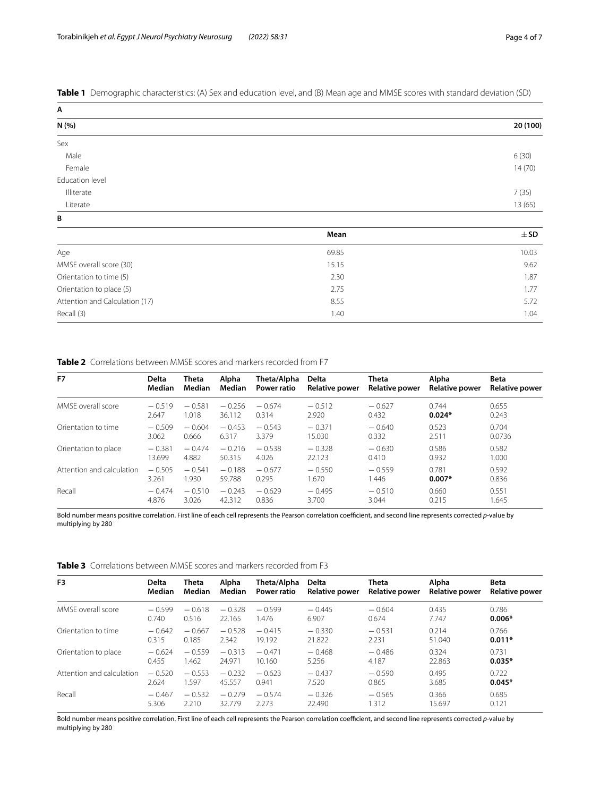<span id="page-3-0"></span>**Table 1** Demographic characteristics: (A) Sex and education level, and (B) Mean age and MMSE scores with standard deviation (SD)

| Α               |          |
|-----------------|----------|
| N (%)           | 20 (100) |
| Sex             |          |
| Male            | 6(30)    |
| Female          | 14(70)   |
| Education level |          |
| Illiterate      | 7(35)    |
| Literate        | 13 (65)  |
| B               |          |

|                                | Mean  | $\pm$ SD |
|--------------------------------|-------|----------|
| Age                            | 69.85 | 10.03    |
| MMSE overall score (30)        | 15.15 | 9.62     |
| Orientation to time (5)        | 2.30  | 1.87     |
| Orientation to place (5)       | 2.75  | 1.77     |
| Attention and Calculation (17) | 8.55  | 5.72     |
| Recall (3)                     | 1.40  | 1.04     |

<span id="page-3-1"></span>**Table 2** Correlations between MMSE scores and markers recorded from F7

| F7                        | <b>Delta</b>  | Theta     | Alpha    | Theta/Alpha        | Delta                 | Theta                 | Alpha                 | <b>Beta</b>           |
|---------------------------|---------------|-----------|----------|--------------------|-----------------------|-----------------------|-----------------------|-----------------------|
|                           | <b>Median</b> | Median    | Median   | <b>Power ratio</b> | <b>Relative power</b> | <b>Relative power</b> | <b>Relative power</b> | <b>Relative power</b> |
| MMSE overall score        | $-0.519$      | $-0.581$  | $-0.256$ | $-0.674$           | $-0.512$              | $-0.627$              | 0.744                 | 0.655                 |
|                           | 2.647         | 1.018     | 36.112   | 0.314              | 2.920                 | 0.432                 | $0.024*$              | 0.243                 |
| Orientation to time       | $-0.509$      | $-0.604$  | $-0.453$ | $-0.543$           | $-0.371$              | $-0.640$              | 0.523                 | 0.704                 |
|                           | 3.062         | 0.666     | 6.317    | 3.379              | 15.030                | 0.332                 | 2.511                 | 0.0736                |
| Orientation to place      | $-0.381$      | $-.0.474$ | $-0.216$ | $-0.538$           | $-0.328$              | $-0.630$              | 0.586                 | 0.582                 |
|                           | 13.699        | 4.882     | 50.315   | 4.026              | 22.123                | 0.410                 | 0.932                 | 1.000                 |
| Attention and calculation | $-0.505$      | $-0.541$  | $-0.188$ | $-0.677$           | $-0.550$              | $-0.559$              | 0.781                 | 0.592                 |
|                           | 3.261         | 1.930     | 59.788   | 0.295              | .670                  | 1.446                 | $0.007*$              | 0.836                 |
| Recall                    | $-0.474$      | $-0.510$  | $-0.243$ | $-0.629$           | $-0.495$              | $-0.510$              | 0.660                 | 0.551                 |
|                           | 4.876         | 3.026     | 42.312   | 0.836              | 3.700                 | 3.044                 | 0.215                 | 1.645                 |

Bold number means positive correlation. First line of each cell represents the Pearson correlation coefficient, and second line represents corrected p-value by multiplying by 280

<span id="page-3-2"></span>**Table 3** Correlations between MMSE scores and markers recorded from F3

| F <sub>3</sub>            | <b>Delta</b> | Theta    | Alpha    | Theta/Alpha | <b>Delta</b>          | Theta                 | <b>Alpha</b>          | Beta                  |
|---------------------------|--------------|----------|----------|-------------|-----------------------|-----------------------|-----------------------|-----------------------|
|                           | Median       | Median   | Median   | Power ratio | <b>Relative power</b> | <b>Relative power</b> | <b>Relative power</b> | <b>Relative power</b> |
| MMSE overall score        | $-0.599$     | $-0.618$ | $-0.328$ | $-0.599$    | $-0.445$              | $-0.604$              | 0.435                 | 0.786                 |
|                           | 0.740        | 0.516    | 22.165   | 1.476       | 6.907                 | 0.674                 | 7.747                 | $0.006*$              |
| Orientation to time       | $-0.642$     | $-0.667$ | $-0.528$ | $-0.415$    | $-0.330$              | $-0.531$              | 0.214                 | 0.766                 |
|                           | 0.315        | 0.185    | 2.342    | 19.192      | 21.822                | 2.231                 | 51.040                | $0.011*$              |
| Orientation to place      | $-0.624$     | $-0.559$ | $-0.313$ | $-0.471$    | $-0.468$              | $-0.486$              | 0.324                 | 0.731                 |
|                           | 0.455        | 1.462    | 24.971   | 10.160      | 5.256                 | 4.187                 | 22.863                | $0.035*$              |
| Attention and calculation | $-0.520$     | $-0.553$ | $-0.232$ | $-0.623$    | $-0.437$              | $-0.590$              | 0.495                 | 0.722                 |
|                           | 2.624        | 1.597    | 45.557   | 0.941       | 7.520                 | 0.865                 | 3.685                 | $0.045*$              |
| Recall                    | $-0.467$     | $-0.532$ | $-0.279$ | $-0.574$    | $-0.326$              | $-0.565$              | 0.366                 | 0.685                 |
|                           | 5.306        | 2.210    | 32.779   | 2.273       | 22.490                | 1.312                 | 15.697                | 0.121                 |

Bold number means positive correlation. First line of each cell represents the Pearson correlation coefficient, and second line represents corrected p-value by multiplying by 280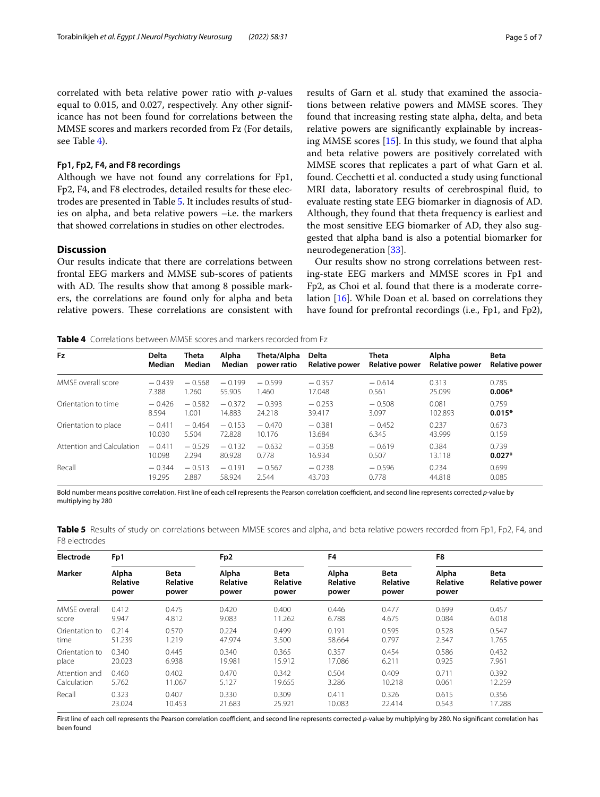correlated with beta relative power ratio with *p*-values equal to 0.015, and 0.027, respectively. Any other significance has not been found for correlations between the MMSE scores and markers recorded from Fz (For details, see Table [4](#page-4-0)).

## **Fp1, Fp2, F4, and F8 recordings**

Although we have not found any correlations for Fp1, Fp2, F4, and F8 electrodes, detailed results for these electrodes are presented in Table [5](#page-4-1). It includes results of studies on alpha, and beta relative powers –i.e. the markers that showed correlations in studies on other electrodes.

## **Discussion**

Our results indicate that there are correlations between frontal EEG markers and MMSE sub-scores of patients with AD. The results show that among 8 possible markers, the correlations are found only for alpha and beta relative powers. These correlations are consistent with results of Garn et al. study that examined the associations between relative powers and MMSE scores. They found that increasing resting state alpha, delta, and beta relative powers are signifcantly explainable by increasing MMSE scores [\[15\]](#page-6-6). In this study, we found that alpha and beta relative powers are positively correlated with MMSE scores that replicates a part of what Garn et al. found. Cecchetti et al. conducted a study using functional MRI data, laboratory results of cerebrospinal fuid, to evaluate resting state EEG biomarker in diagnosis of AD. Although, they found that theta frequency is earliest and the most sensitive EEG biomarker of AD, they also suggested that alpha band is also a potential biomarker for neurodegeneration [[33\]](#page-6-24).

Our results show no strong correlations between resting-state EEG markers and MMSE scores in Fp1 and Fp2, as Choi et al. found that there is a moderate correlation [\[16](#page-6-7)]. While Doan et al. based on correlations they have found for prefrontal recordings (i.e., Fp1, and Fp2),

<span id="page-4-0"></span>**Table 4** Correlations between MMSE scores and markers recorded from Fz

| Fz                        | <b>Delta</b> | Theta    | Alpha    | Theta/Alpha | <b>Delta</b>          | Theta                 | Alpha                 | <b>Beta</b>           |
|---------------------------|--------------|----------|----------|-------------|-----------------------|-----------------------|-----------------------|-----------------------|
|                           | Median       | Median   | Median   | power ratio | <b>Relative power</b> | <b>Relative power</b> | <b>Relative power</b> | <b>Relative power</b> |
| MMSE overall score        | $-0.439$     | $-0.568$ | $-0.199$ | $-0.599$    | $-0.357$              | $-0.614$              | 0.313                 | 0.785                 |
|                           | 7.388        | 1.260    | 55.905   | 1.460       | 17.048                | 0.561                 | 25.099                | $0.006*$              |
| Orientation to time       | $-0.426$     | $-0.582$ | $-0.372$ | $-0.393$    | $-0.253$              | $-0.508$              | 0.081                 | 0.759                 |
|                           | 8.594        | 1.001    | 14.883   | 24.218      | 39.417                | 3.097                 | 102.893               | $0.015*$              |
| Orientation to place      | $-0.411$     | $-0.464$ | $-0.153$ | $-0.470$    | $-0.381$              | $-0.452$              | 0.237                 | 0.673                 |
|                           | 10.030       | 5.504    | 72.828   | 10.176      | 13.684                | 6.345                 | 43.999                | 0.159                 |
| Attention and Calculation | $-0.411$     | $-0.529$ | $-0.132$ | $-0.632$    | $-0.358$              | $-0.619$              | 0.384                 | 0.739                 |
|                           | 10.098       | 2.294    | 80.928   | 0.778       | 16.934                | 0.507                 | 13.118                | $0.027*$              |
| Recall                    | $-0.344$     | $-0.513$ | $-0.191$ | $-0.567$    | $-0.238$              | $-0.596$              | 0.234                 | 0.699                 |
|                           | 19.295       | 2.887    | 58.924   | 2.544       | 43.703                | 0.778                 | 44.818                | 0.085                 |

Bold number means positive correlation. First line of each cell represents the Pearson correlation coefficient, and second line represents corrected *p*-value by multiplying by 280

<span id="page-4-1"></span>**Table 5** Results of study on correlations between MMSE scores and alpha, and beta relative powers recorded from Fp1, Fp2, F4, and F8 electrodes

| Electrode<br><b>Marker</b> | Fp1                        |                                  | Fp <sub>2</sub>                   |                                  | F <sub>4</sub>             |                                         | F8                                       |                                      |
|----------------------------|----------------------------|----------------------------------|-----------------------------------|----------------------------------|----------------------------|-----------------------------------------|------------------------------------------|--------------------------------------|
|                            | Alpha<br>Relative<br>power | <b>Beta</b><br>Relative<br>power | Alpha<br><b>Relative</b><br>power | <b>Beta</b><br>Relative<br>power | Alpha<br>Relative<br>power | <b>Beta</b><br><b>Relative</b><br>power | <b>Alpha</b><br><b>Relative</b><br>power | <b>Beta</b><br><b>Relative power</b> |
| MMSF overall               | 0.412                      | 0.475                            | 0.420                             | 0.400                            | 0.446                      | 0.477                                   | 0.699                                    | 0.457                                |
| score                      | 9.947                      | 4.812                            | 9.083                             | 11.262                           | 6.788                      | 4.675                                   | 0.084                                    | 6.018                                |
| Orientation to             | 0.214                      | 0.570                            | 0.224                             | 0.499                            | 0.191                      | 0.595                                   | 0.528                                    | 0.547                                |
| time                       | 51.239                     | 1.219                            | 47.974                            | 3.500                            | 58.664                     | 0.797                                   | 2.347                                    | 1.765                                |
| Orientation to             | 0.340                      | 0.445                            | 0.340                             | 0.365                            | 0.357                      | 0.454                                   | 0.586                                    | 0.432                                |
| place                      | 20.023                     | 6.938                            | 19.981                            | 15.912                           | 17.086                     | 6.211                                   | 0.925                                    | 7.961                                |
| Attention and              | 0.460                      | 0.402                            | 0.470                             | 0.342                            | 0.504                      | 0.409                                   | 0.711                                    | 0.392                                |
| Calculation                | 5.762                      | 11.067                           | 5.127                             | 19.655                           | 3.286                      | 10.218                                  | 0.061                                    | 12.259                               |
| Recall                     | 0.323                      | 0.407                            | 0.330                             | 0.309                            | 0.411                      | 0.326                                   | 0.615                                    | 0.356                                |
|                            | 23.024                     | 10.453                           | 21.683                            | 25.921                           | 10.083                     | 22.414                                  | 0.543                                    | 17.288                               |

First line of each cell represents the Pearson correlation coefficient, and second line represents corrected p-value by multiplying by 280. No significant correlation has been found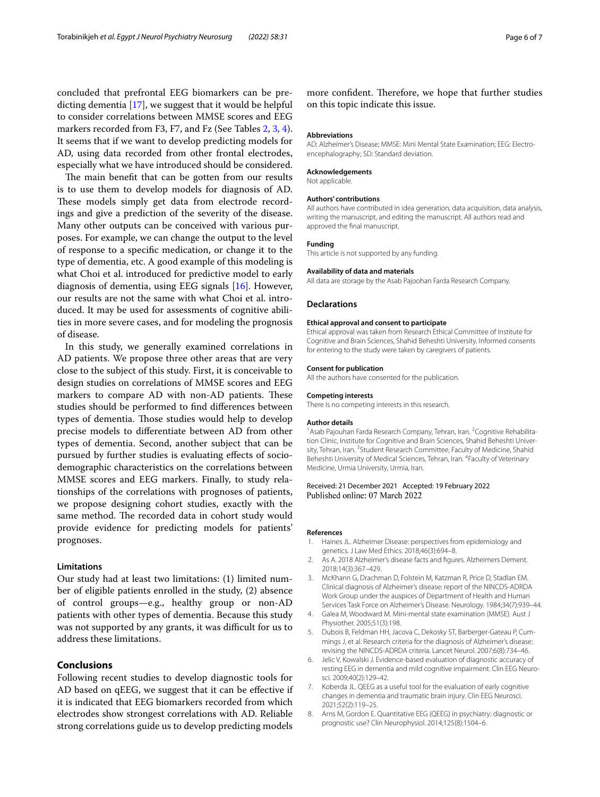concluded that prefrontal EEG biomarkers can be predicting dementia [\[17](#page-6-8)], we suggest that it would be helpful to consider correlations between MMSE scores and EEG markers recorded from F3, F7, and Fz (See Tables [2](#page-3-1), [3,](#page-3-2) [4](#page-4-0)). It seems that if we want to develop predicting models for AD, using data recorded from other frontal electrodes, especially what we have introduced should be considered.

The main benefit that can be gotten from our results is to use them to develop models for diagnosis of AD. These models simply get data from electrode recordings and give a prediction of the severity of the disease. Many other outputs can be conceived with various purposes. For example, we can change the output to the level of response to a specifc medication, or change it to the type of dementia, etc. A good example of this modeling is what Choi et al. introduced for predictive model to early diagnosis of dementia, using EEG signals [[16](#page-6-7)]. However, our results are not the same with what Choi et al. introduced. It may be used for assessments of cognitive abilities in more severe cases, and for modeling the prognosis of disease.

In this study, we generally examined correlations in AD patients. We propose three other areas that are very close to the subject of this study. First, it is conceivable to design studies on correlations of MMSE scores and EEG markers to compare AD with non-AD patients. These studies should be performed to fnd diferences between types of dementia. Those studies would help to develop precise models to diferentiate between AD from other types of dementia. Second, another subject that can be pursued by further studies is evaluating efects of sociodemographic characteristics on the correlations between MMSE scores and EEG markers. Finally, to study relationships of the correlations with prognoses of patients, we propose designing cohort studies, exactly with the same method. The recorded data in cohort study would provide evidence for predicting models for patients' prognoses.

#### **Limitations**

Our study had at least two limitations: (1) limited number of eligible patients enrolled in the study, (2) absence of control groups—e.g., healthy group or non-AD patients with other types of dementia. Because this study was not supported by any grants, it was difficult for us to address these limitations.

# **Conclusions**

Following recent studies to develop diagnostic tools for AD based on qEEG, we suggest that it can be efective if it is indicated that EEG biomarkers recorded from which electrodes show strongest correlations with AD. Reliable strong correlations guide us to develop predicting models

more confident. Therefore, we hope that further studies on this topic indicate this issue.

#### **Abbreviations**

AD: Alzheimer's Disease; MMSE: Mini Mental State Examination; EEG: Electroencephalography; SD: Standard deviation.

#### **Acknowledgements**

Not applicable.

#### **Authors' contributions**

All authors have contributed in idea generation, data acquisition, data analysis, writing the manuscript, and editing the manuscript. All authors read and approved the fnal manuscript.

#### **Funding**

This article is not supported by any funding.

#### **Availability of data and materials**

All data are storage by the Asab Pajoohan Farda Research Company.

#### **Declarations**

#### **Ethical approval and consent to participate**

Ethical approval was taken from Research Ethical Committee of Institute for Cognitive and Brain Sciences, Shahid Beheshti University. Informed consents for entering to the study were taken by caregivers of patients.

#### **Consent for publication**

All the authors have consented for the publication.

# **Competing interests**

There is no competing interests in this research.

#### **Author details**

<sup>1</sup> Asab Pajouhan Farda Research Company, Tehran, Iran. <sup>2</sup> Cognitive Rehabilitation Clinic, Institute for Cognitive and Brain Sciences, Shahid Beheshti University, Tehran, Iran. <sup>3</sup> Student Research Committee, Faculty of Medicine, Shahid Beheshti University of Medical Sciences, Tehran, Iran. 4 Faculty of Veterinary Medicine, Urmia University, Urmia, Iran.

#### Received: 21 December 2021 Accepted: 19 February 2022 Published online: 07 March 2022

#### **References**

- <span id="page-5-0"></span>1. Haines JL. Alzheimer Disease: perspectives from epidemiology and genetics. J Law Med Ethics. 2018;46(3):694–8.
- <span id="page-5-1"></span>2. As A. 2018 Alzheimer's disease facts and fgures. Alzheimers Dement. 2018;14(3):367–429.
- <span id="page-5-2"></span>3. McKhann G, Drachman D, Folstein M, Katzman R, Price D, Stadlan EM. Clinical diagnosis of Alzheimer's disease: report of the NINCDS-ADRDA Work Group under the auspices of Department of Health and Human Services Task Force on Alzheimer's Disease. Neurology. 1984;34(7):939–44.
- <span id="page-5-3"></span>4. Galea M, Woodward M. Mini-mental state examination (MMSE). Aust J Physiother. 2005;51(3):198.
- <span id="page-5-4"></span>5. Dubois B, Feldman HH, Jacova C, Dekosky ST, Barberger-Gateau P, Cummings J, et al. Research criteria for the diagnosis of Alzheimer's disease: revising the NINCDS-ADRDA criteria. Lancet Neurol. 2007;6(8):734–46.
- <span id="page-5-5"></span>6. Jelic V, Kowalski J. Evidence-based evaluation of diagnostic accuracy of resting EEG in dementia and mild cognitive impairment. Clin EEG Neurosci. 2009;40(2):129–42.
- <span id="page-5-6"></span>7. Koberda JL. QEEG as a useful tool for the evaluation of early cognitive changes in dementia and traumatic brain injury. Clin EEG Neurosci. 2021;52(2):119–25.
- <span id="page-5-7"></span>8. Arns M, Gordon E. Quantitative EEG (QEEG) in psychiatry: diagnostic or prognostic use? Clin Neurophysiol. 2014;125(8):1504–6.